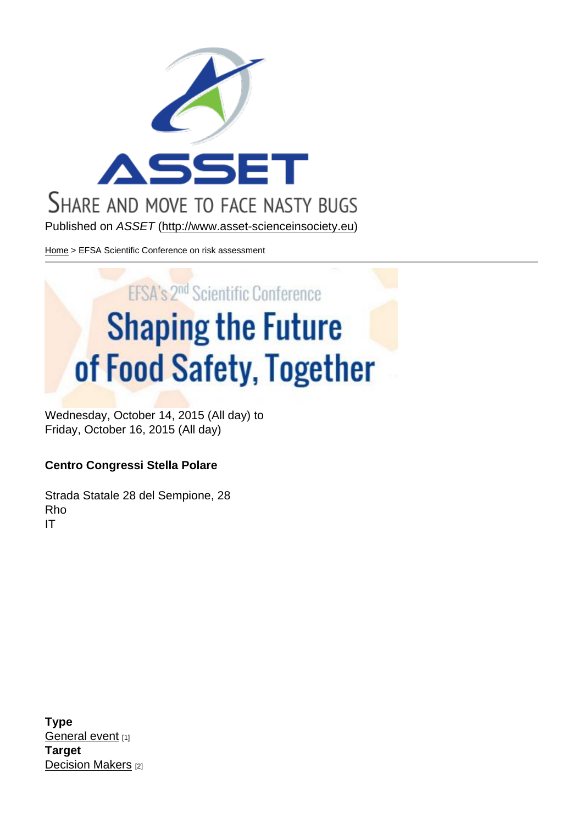Published on ASSET (http://www.asset-scienceinsociety.eu)

Home > EFSA Scientific Conference on risk assessment

Wednesday, October 14, 2015 (All day) to Friday, October 16, 2015 (All day)

Centro Congressi Stella Polare

Strada Statale 28 del Sempione, 28 Rho IT

Type General event [1] Target Decision Makers [2]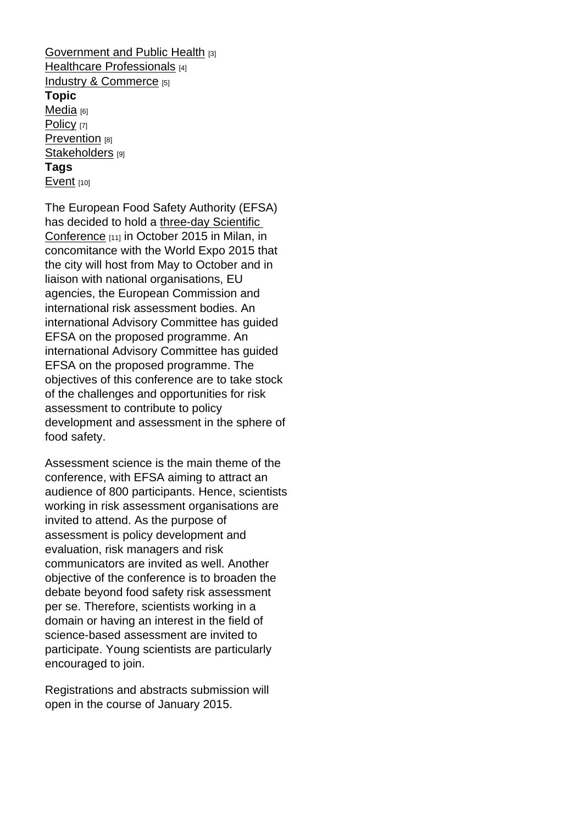Government and Public Health [3] Healthcare Professionals [4] Industry & Commerce [5] [Topic](http://www.asset-scienceinsociety.eu/target/government-and-public-health)  [Media](http://www.asset-scienceinsociety.eu/target/healthcare-professionals) [6] [Policy](http://www.asset-scienceinsociety.eu/target/industry-commerce) [7] Prevention [8] [Stakeh](http://www.asset-scienceinsociety.eu/topic/media)olders [9] [Tags](http://www.asset-scienceinsociety.eu/topic/policy)  [Event](http://www.asset-scienceinsociety.eu/topic/prevention) [10]

[The European](http://www.asset-scienceinsociety.eu/topic/stakeholders) Food Safety Authority (EFSA) has decided to hold a three-day Scientific [Confe](http://www.asset-scienceinsociety.eu/tags/event)rence [11] in October 2015 in Milan, in concomitance with the World Expo 2015 that the city will host from [May to October and](http://www.efsaexpo2015.eu/) in [liaison with](http://www.efsaexpo2015.eu/) national organisations, EU agencies, the European Commission and international risk assessment bodies. An international Advisory Committee has guided EFSA on the proposed programme. An international Advisory Committee has guided EFSA on the proposed programme. The objectives of this conference are to take stock of the challenges and opportunities for risk assessment to contribute to policy development and assessment in the sphere of food safety.

Assessment science is the main theme of the conference, with EFSA aiming to attract an audience of 800 participants. Hence, scientists working in risk assessment organisations are invited to attend. As the purpose of assessment is policy development and evaluation, risk managers and risk communicators are invited as well. Another objective of the conference is to broaden the debate beyond food safety risk assessment per se. Therefore, scientists working in a domain or having an interest in the field of science-based assessment are invited to participate. Young scientists are particularly encouraged to join.

Registrations and abstracts submission will open in the course of January 2015.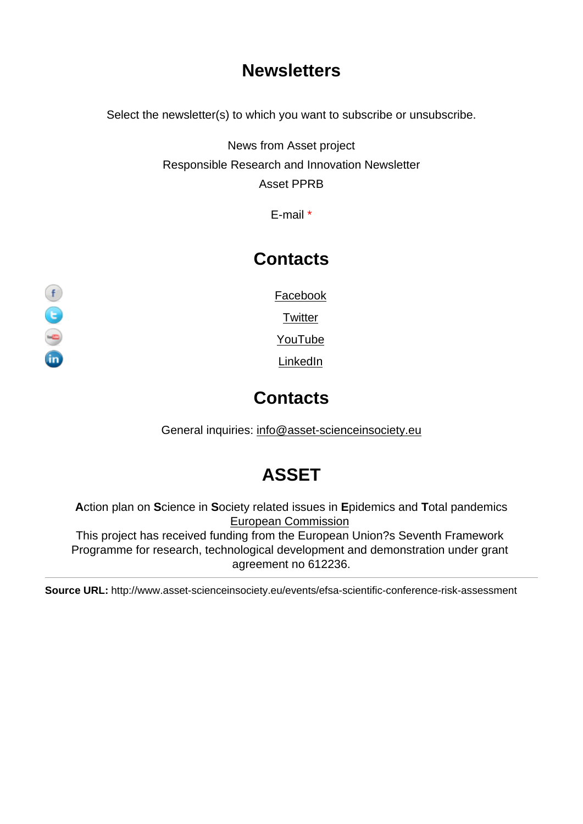## **Newsletters**

Select the newsletter(s) to which you want to subscribe or unsubscribe.

News from Asset project Responsible Research and Innovation Newsletter Asset PPRB

E-mail \*

#### **Contacts**

**Facebook** 

**Twitter** 

YouTube

**LinkedIn** 

## **Contacts**

General inquiries: info@asset-scienceinsociety.eu

# [ASSET](mailto:info@asset-scienceinsociety.eu)

Action plan on Science in Society related issues in Epidemics and Total pandemics European Commission This project has received funding from the European Union?s Seventh Framework Programme for research, technological development and demonstration under grant [agreement no 612236.](http://ec.europa.eu/index_en.htm)

Source URL: http://www.asset-scienceinsociety.eu/events/efsa-scientific-conference-risk-assessment